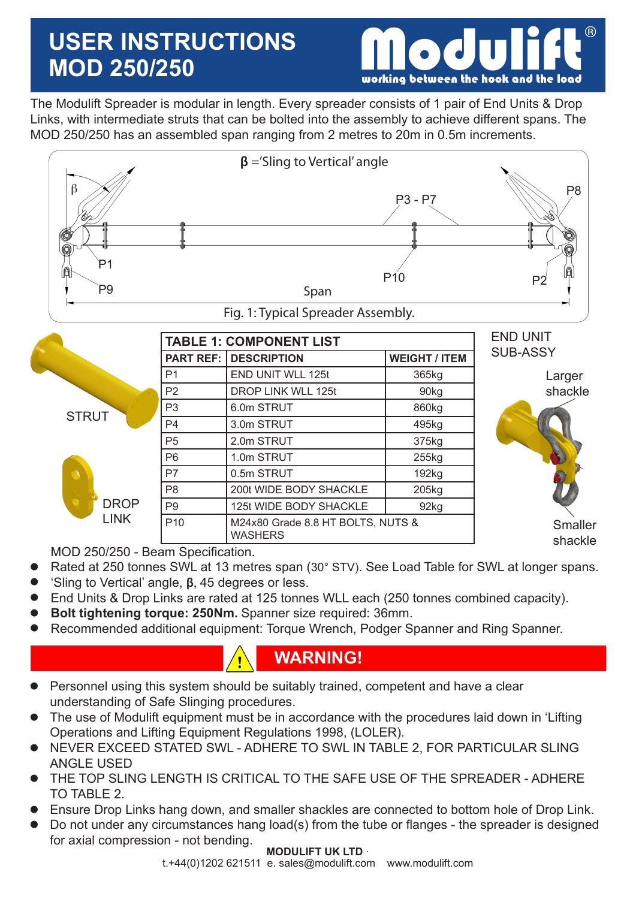# **USER INSTRUCTIONS MOD 250/250**



The Modulift Spreader is modular in length. Every spreader consists of 1 pair of End Units & Drop Links, with intermediate struts that can be bolted into the assembly to achieve different spans. The MOD 250/250 has an assembled span ranging from 2 metres to 20m in 0.5m increments.



|              |                  | <b>TABLE 1: COMPONENT LIST</b>                      | <b>END UNIT</b>           |                 |  |  |
|--------------|------------------|-----------------------------------------------------|---------------------------|-----------------|--|--|
|              | <b>PART REF:</b> | <b>DESCRIPTION</b>                                  | <b>WEIGHT / ITEM</b>      | <b>SUB-ASSY</b> |  |  |
|              | P <sub>1</sub>   | END UNIT WLL 125t                                   | 365kg                     | Larger          |  |  |
|              | P <sub>2</sub>   | DROP LINK WLL 125t                                  | 90kg                      | shackle         |  |  |
| <b>STRUT</b> | P <sub>3</sub>   | 6.0m STRUT                                          | 860kg                     |                 |  |  |
|              | P <sub>4</sub>   | 3.0m STRUT                                          | 495kg                     |                 |  |  |
|              | P <sub>5</sub>   | 2.0m STRUT                                          | 375kg                     |                 |  |  |
|              | P <sub>6</sub>   | 1.0m STRUT                                          | 255kg                     |                 |  |  |
|              | P7               | 0.5m STRUT                                          | 192kg                     |                 |  |  |
|              | P <sub>8</sub>   | 200t WIDE BODY SHACKLE                              | 205kg                     |                 |  |  |
| <b>DROP</b>  | P <sub>9</sub>   | 125t WIDE BODY SHACKLE                              | 92kg                      |                 |  |  |
| <b>LINK</b>  | P <sub>10</sub>  | M24x80 Grade 8.8 HT BOLTS, NUTS &<br><b>WASHERS</b> | <b>Smaller</b><br>shackle |                 |  |  |

MOD 250/250 - Beam Specification.

- Rated at 250 tonnes SWL at 13 metres span (30° STV). See Load Table for SWL at longer spans.  $\bullet$
- 'Sling to Vertical' angle, **β**, 45 degrees or less.  $\bullet$
- End Units & Drop Links are rated at 125 tonnes WLL each (250 tonnes combined capacity).  $\bullet$
- **Bolt tightening torque: 250Nm.** Spanner size required: 36mm.  $\bullet$
- Recommended additional equipment: Torque Wrench, Podger Spanner and Ring Spanner.  $\bullet$

### **WARNING!**

- Personnel using this system should be suitably trained, competent and have a clear understanding of Safe Slinging procedures.  $\bullet$
- The use of Modulift equipment must be in accordance with the procedures laid down in 'Lifting Operations and Lifting Equipment Regulations 1998, (LOLER).  $\bullet$
- NEVER EXCEED STATED SWL ADHERE TO SWL IN TABLE 2, FOR PARTICULAR SLING ANGLE USED  $\bullet$
- THE TOP SLING LENGTH IS CRITICAL TO THE SAFE USE OF THE SPREADER ADHERE TO TABLE 2.  $\bullet$
- Ensure Drop Links hang down, and smaller shackles are connected to bottom hole of Drop Link.  $\bullet$
- Do not under any circumstances hang load(s) from the tube or flanges the spreader is designed for axial compression - not bending.  $\bullet$